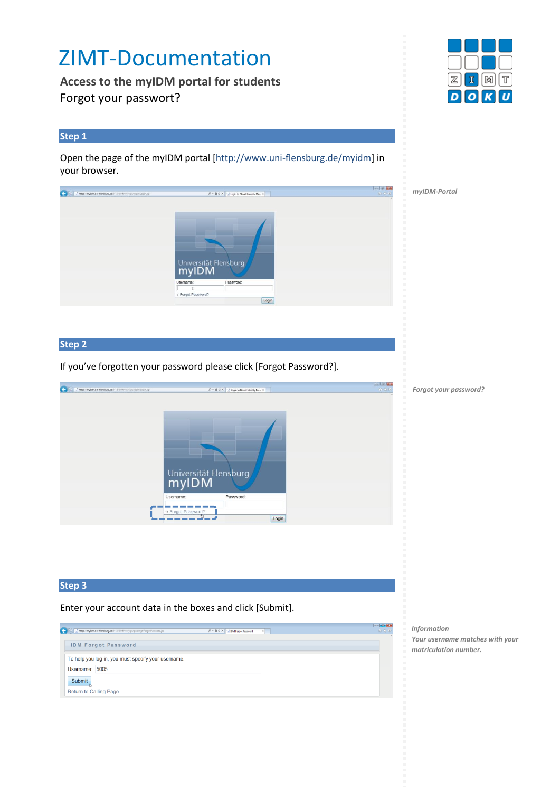# ZIMT-Documentation

**Access to the myIDM portal for students** Forgot your passwort?

#### **Step 1**

Open the page of the myIDM portal [\[http://www.uni-flensburg.de/myidm\]](http://www.uni-flensburg.de/myidm) in your browser.

*myIDM-Portal*

**Step 2** 

If you've forgotten your password please click [Forgot Password?].



*Forgot your password?*

## **Step 3**

Enter your account data in the boxes and click [Submit].

| Matps://myidm.uni-flensburg.de:8443/IDMProv/jsps/pwdmgt/ForgotPassword.jsp<br>← | $    -$<br><b>价资量</b><br>$D = \mathbf{a} \in \mathbb{X}$   $\mathbf{v}$ IDM Forgot Password<br>$\times$ |
|---------------------------------------------------------------------------------|---------------------------------------------------------------------------------------------------------|
| <b>IDM Forgot Password</b>                                                      |                                                                                                         |
| To help you log in, you must specify your username.                             |                                                                                                         |
| Username: 5005                                                                  |                                                                                                         |
| Submit                                                                          |                                                                                                         |
| <b>Return to Calling Page</b>                                                   |                                                                                                         |

*Information Your username matches with your matriculation number.*



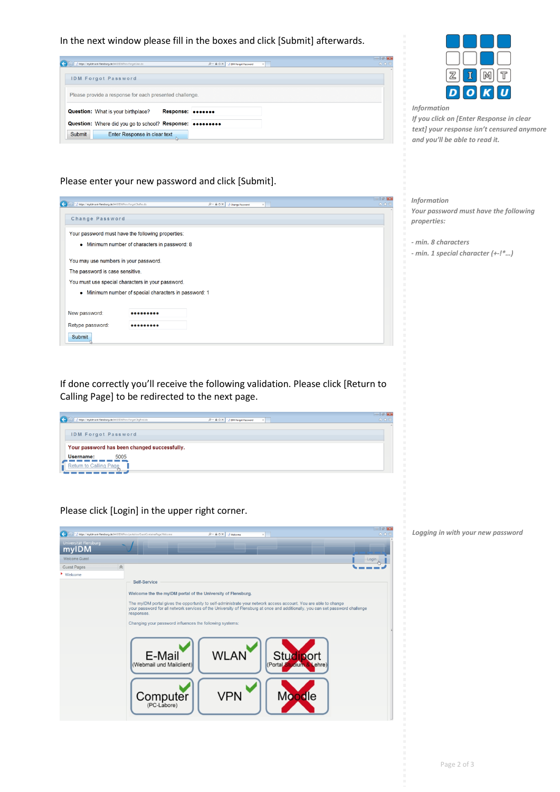In the next window please fill in the boxes and click [Submit] afterwards.

| Mttps://myidm.uni-flensburg.de:8443/IDMProv/forgotUser.do  |           | D - A C X   MIDM Forgot Password<br>$\times$ | $-14-0$<br>命食意 |
|------------------------------------------------------------|-----------|----------------------------------------------|----------------|
| <b>IDM Forgot Password</b>                                 |           |                                              |                |
| Please provide a response for each presented challenge.    |           |                                              |                |
| <b>Question:</b> What is your birthplace?                  | Response: |                                              |                |
| Question: Where did you go to school? Response: •••••••••• |           |                                              |                |
| <b>Submit</b><br>Enter Response in clear text              |           |                                              |                |

### Please enter your new password and click [Submit].

|                                                             |                                                       |                               | $-0 - 48 - 48$ |
|-------------------------------------------------------------|-------------------------------------------------------|-------------------------------|----------------|
| https://myidm.uni-flensburg.de:8443/IDMProv/forgotChaRes.do |                                                       | D - A C X - / Change Password | 命食意            |
| Change Password                                             |                                                       |                               |                |
|                                                             |                                                       |                               |                |
| Your password must have the following properties:           |                                                       |                               |                |
|                                                             | • Minimum number of characters in password: 8         |                               |                |
| You may use numbers in your password.                       |                                                       |                               |                |
| The password is case sensitive.                             |                                                       |                               |                |
| You must use special characters in your password.           |                                                       |                               |                |
|                                                             | • Minimum number of special characters in password: 1 |                               |                |
|                                                             |                                                       |                               |                |
| New password:                                               |                                                       |                               |                |
| Retype password:                                            |                                                       |                               |                |
| Submit                                                      |                                                       |                               |                |

If done correctly you'll receive the following validation. Please click [Return to Calling Page] to be redirected to the next page.

| / https://myidm.uni-flensburg.de:8443/IDMProv/forgotChgPwd.do | $D = \triangle C \times \square$ IDM Forgot Password<br>$\times$ | $-0 - 3 - 0$<br>合会员 |
|---------------------------------------------------------------|------------------------------------------------------------------|---------------------|
| <b>IDM Forgot Password</b>                                    |                                                                  |                     |
| Your password has been changed successfully.                  |                                                                  |                     |
| 5005<br>Username:                                             |                                                                  |                     |
| <b>Return to Calling Page</b>                                 |                                                                  |                     |
|                                                               |                                                                  |                     |

Please click [Login] in the upper right corner.

| / https://myidm.uni-flensburg.de:8443/IDMProu/portal/cn/GuestContainerPage/Welcome | $    -$<br>p - ≙ d X Melcome<br><b>自食</b>                                                                                                                                                                                                                                                                                                                                                                                                                                                                                    |
|------------------------------------------------------------------------------------|------------------------------------------------------------------------------------------------------------------------------------------------------------------------------------------------------------------------------------------------------------------------------------------------------------------------------------------------------------------------------------------------------------------------------------------------------------------------------------------------------------------------------|
| Universität Flensburg<br>myIDM                                                     |                                                                                                                                                                                                                                                                                                                                                                                                                                                                                                                              |
| Welcome Guest                                                                      | Login                                                                                                                                                                                                                                                                                                                                                                                                                                                                                                                        |
| 会<br><b>Guest Pages</b>                                                            |                                                                                                                                                                                                                                                                                                                                                                                                                                                                                                                              |
| ▶ Welcome                                                                          | Self-Service<br>Welcome the the myIDM portal of the University of Flensburg.<br>The myIDM portal gives the opportunity to self-administrate your network access account. You are able to change<br>your password for all network services of the University of Flensburg at once and additionally, you can set password challenge<br>responses.<br>Changing your password influences the following systems:<br><b>WLAN</b><br>E-Mail<br>Studiport<br>(Webmail und Mailclient)<br>(Portal<br><b>Moodle</b><br>Computer<br>VPN |



*Information*

*If you click on [Enter Response in clear text] your response isn't censured anymore and you'll be able to read it.*

*Information*

*Your password must have the following properties:*

*- min. 8 characters*

*- min. 1 special character (+-!\*…)*

*Logging in with your new password*